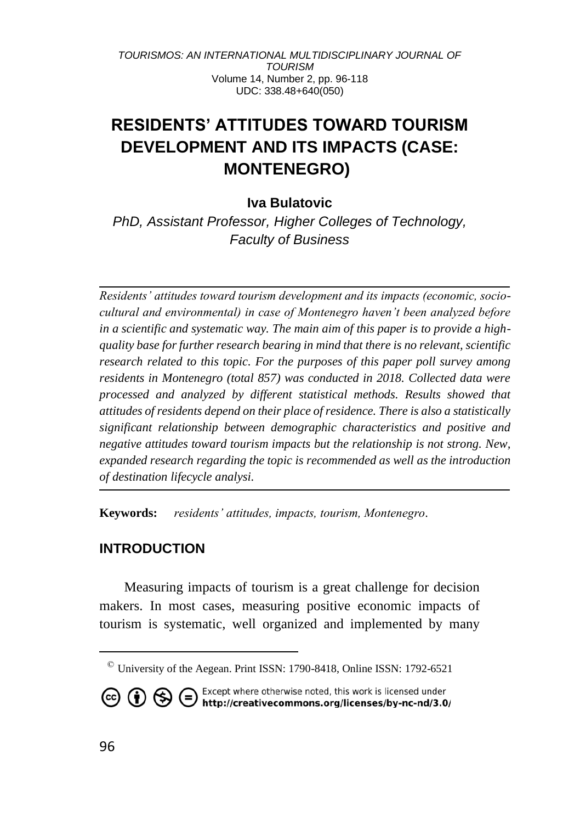# **RESIDENTS' ATTITUDES TOWARD TOURISM DEVELOPMENT AND ITS IMPACTS (CASE: MONTENEGRO)<sup>1</sup>**

# **Iva Bulatovic**

*PhD, Assistant Professor, Higher Colleges of Technology, Faculty of Business*

*Residents' attitudes toward tourism development and its impacts (economic, sociocultural and environmental) in case of Montenegro haven't been analyzed before in a scientific and systematic way. The main aim of this paper is to provide a highquality base for further research bearing in mind that there is no relevant, scientific research related to this topic. For the purposes of this paper poll survey among residents in Montenegro (total 857) was conducted in 2018. Collected data were processed and analyzed by different statistical methods. Results showed that attitudes of residents depend on their place of residence. There is also a statistically significant relationship between demographic characteristics and positive and negative attitudes toward tourism impacts but the relationship is not strong. New, expanded research regarding the topic is recommended as well as the introduction of destination lifecycle analysi.*

**Keywords:** *residents' attitudes, impacts, tourism, Montenegro.*

## **INTRODUCTION**

Measuring impacts of tourism is a great challenge for decision makers. In most cases, measuring positive economic impacts of tourism is systematic, well organized and implemented by many

 $\textdegree$  University of the Aegean. Print ISSN: 1790-8418, Online ISSN: 1792-6521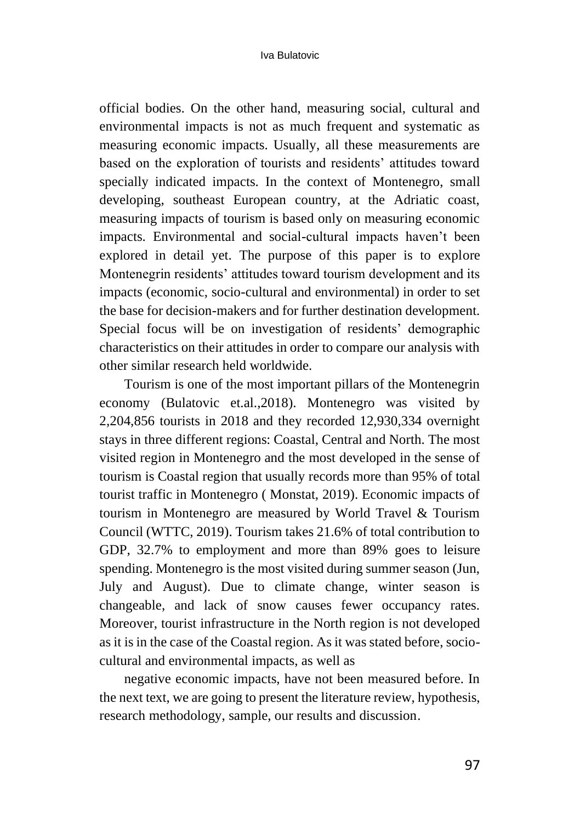official bodies. On the other hand, measuring social, cultural and environmental impacts is not as much frequent and systematic as measuring economic impacts. Usually, all these measurements are based on the exploration of tourists and residents' attitudes toward specially indicated impacts. In the context of Montenegro, small developing, southeast European country, at the Adriatic coast, measuring impacts of tourism is based only on measuring economic impacts. Environmental and social-cultural impacts haven't been explored in detail yet. The purpose of this paper is to explore Montenegrin residents' attitudes toward tourism development and its impacts (economic, socio-cultural and environmental) in order to set the base for decision-makers and for further destination development. Special focus will be on investigation of residents' demographic characteristics on their attitudes in order to compare our analysis with other similar research held worldwide.

Tourism is one of the most important pillars of the Montenegrin economy (Bulatovic et.al.,2018). Montenegro was visited by 2,204,856 tourists in 2018 and they recorded 12,930,334 overnight stays in three different regions: Coastal, Central and North. The most visited region in Montenegro and the most developed in the sense of tourism is Coastal region that usually records more than 95% of total tourist traffic in Montenegro ( Monstat, 2019). Economic impacts of tourism in Montenegro are measured by World Travel & Tourism Council (WTTC, 2019). Tourism takes 21.6% of total contribution to GDP, 32.7% to employment and more than 89% goes to leisure spending. Montenegro is the most visited during summer season (Jun, July and August). Due to climate change, winter season is changeable, and lack of snow causes fewer occupancy rates. Moreover, tourist infrastructure in the North region is not developed as it is in the case of the Coastal region. As it was stated before, sociocultural and environmental impacts, as well as

negative economic impacts, have not been measured before. In the next text, we are going to present the literature review, hypothesis, research methodology, sample, our results and discussion.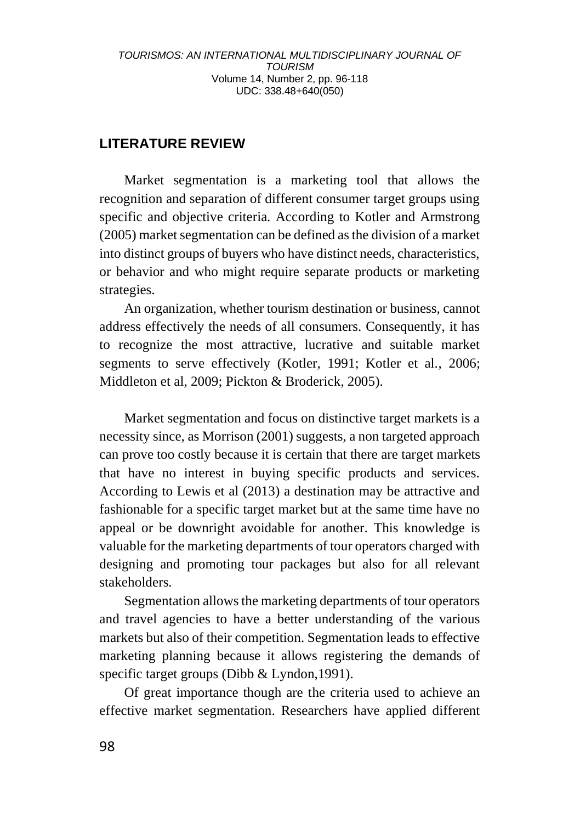# **LITERATURE REVIEW**

Market segmentation is a marketing tool that allows the recognition and separation of different consumer target groups using specific and objective criteria. According to Kotler and Armstrong (2005) market segmentation can be defined as the division of a market into distinct groups of buyers who have distinct needs, characteristics, or behavior and who might require separate products or marketing strategies.

An organization, whether tourism destination or business, cannot address effectively the needs of all consumers. Consequently, it has to recognize the most attractive, lucrative and suitable market segments to serve effectively (Kotler, 1991; Kotler et al., 2006; Middleton et al, 2009; Pickton & Broderick, 2005).

Market segmentation and focus on distinctive target markets is a necessity since, as Morrison (2001) suggests, a non targeted approach can prove too costly because it is certain that there are target markets that have no interest in buying specific products and services. According to Lewis et al (2013) a destination may be attractive and fashionable for a specific target market but at the same time have no appeal or be downright avoidable for another. This knowledge is valuable for the marketing departments of tour operators charged with designing and promoting tour packages but also for all relevant stakeholders.

Segmentation allows the marketing departments of tour operators and travel agencies to have a better understanding of the various markets but also of their competition. Segmentation leads to effective marketing planning because it allows registering the demands of specific target groups (Dibb & Lyndon, 1991).

Of great importance though are the criteria used to achieve an effective market segmentation. Researchers have applied different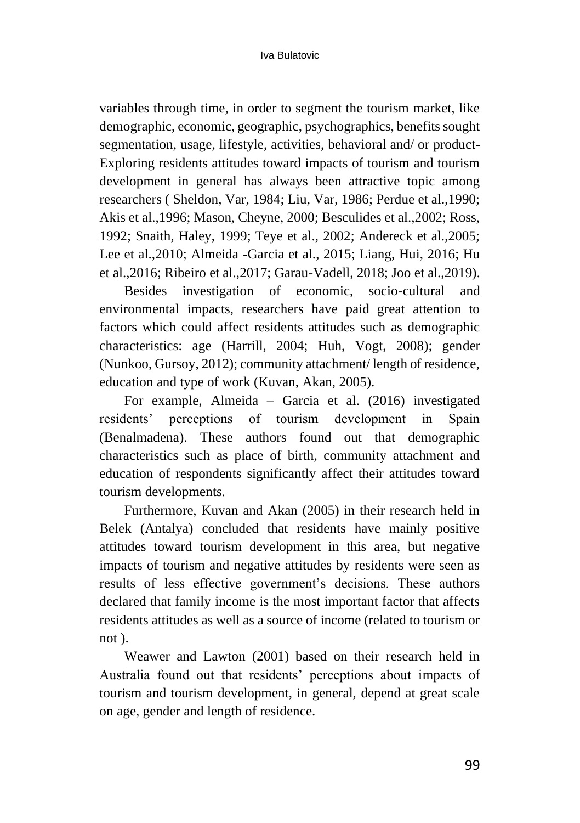variables through time, in order to segment the tourism market, like demographic, economic, geographic, psychographics, benefits sought segmentation, usage, lifestyle, activities, behavioral and/ or product-Exploring residents attitudes toward impacts of tourism and tourism development in general has always been attractive topic among researchers ( Sheldon, Var, 1984; Liu, Var, 1986; Perdue et al.,1990; Akis et al.,1996; Mason, Cheyne, 2000; Besculides et al.,2002; Ross, 1992; Snaith, Haley, 1999; Teye et al., 2002; Andereck et al.,2005; Lee et al.,2010; Almeida -Garcia et al., 2015; Liang, Hui, 2016; Hu et al.,2016; Ribeiro et al.,2017; Garau-Vadell, 2018; Joo et al.,2019).

Besides investigation of economic, socio-cultural and environmental impacts, researchers have paid great attention to factors which could affect residents attitudes such as demographic characteristics: age (Harrill, 2004; Huh, Vogt, 2008); gender (Nunkoo, Gursoy, 2012); community attachment/ length of residence, education and type of work (Kuvan, Akan, 2005).

For example, Almeida – Garcia et al. (2016) investigated residents' perceptions of tourism development in Spain (Benalmadena). These authors found out that demographic characteristics such as place of birth, community attachment and education of respondents significantly affect their attitudes toward tourism developments.

Furthermore, Kuvan and Akan (2005) in their research held in Belek (Antalya) concluded that residents have mainly positive attitudes toward tourism development in this area, but negative impacts of tourism and negative attitudes by residents were seen as results of less effective government's decisions. These authors declared that family income is the most important factor that affects residents attitudes as well as a source of income (related to tourism or not ).

Weawer and Lawton (2001) based on their research held in Australia found out that residents' perceptions about impacts of tourism and tourism development, in general, depend at great scale on age, gender and length of residence.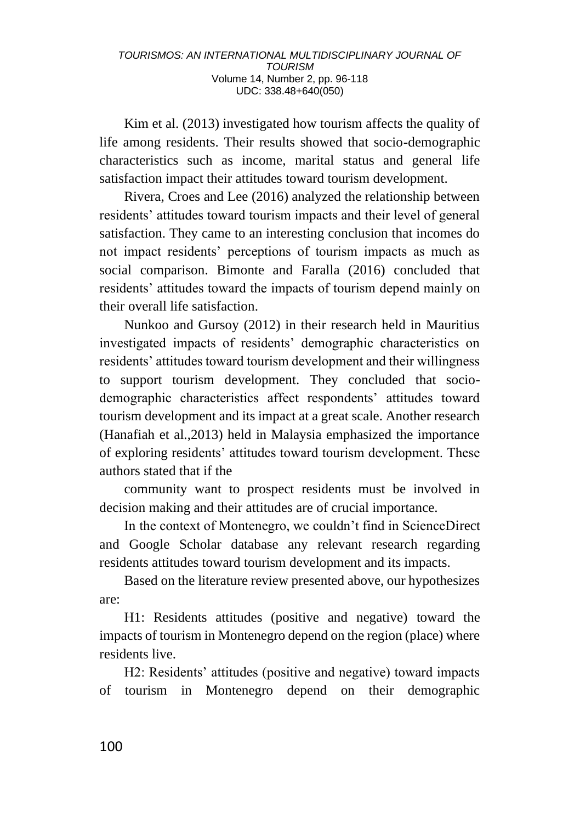Kim et al. (2013) investigated how tourism affects the quality of life among residents. Their results showed that socio-demographic characteristics such as income, marital status and general life satisfaction impact their attitudes toward tourism development.

Rivera, Croes and Lee (2016) analyzed the relationship between residents' attitudes toward tourism impacts and their level of general satisfaction. They came to an interesting conclusion that incomes do not impact residents' perceptions of tourism impacts as much as social comparison. Bimonte and Faralla (2016) concluded that residents' attitudes toward the impacts of tourism depend mainly on their overall life satisfaction.

Nunkoo and Gursoy (2012) in their research held in Mauritius investigated impacts of residents' demographic characteristics on residents' attitudes toward tourism development and their willingness to support tourism development. They concluded that sociodemographic characteristics affect respondents' attitudes toward tourism development and its impact at a great scale. Another research (Hanafiah et al.,2013) held in Malaysia emphasized the importance of exploring residents' attitudes toward tourism development. These authors stated that if the

community want to prospect residents must be involved in decision making and their attitudes are of crucial importance.

In the context of Montenegro, we couldn't find in ScienceDirect and Google Scholar database any relevant research regarding residents attitudes toward tourism development and its impacts.

Based on the literature review presented above, our hypothesizes are:

H1: Residents attitudes (positive and negative) toward the impacts of tourism in Montenegro depend on the region (place) where residents live.

H2: Residents' attitudes (positive and negative) toward impacts of tourism in Montenegro depend on their demographic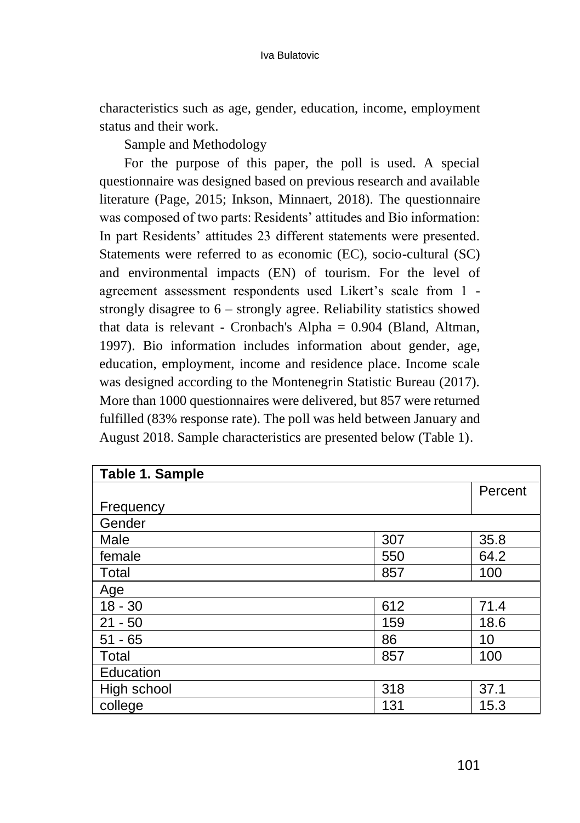characteristics such as age, gender, education, income, employment status and their work.

Sample and Methodology

For the purpose of this paper, the poll is used. A special questionnaire was designed based on previous research and available literature (Page, 2015; Inkson, Minnaert, 2018). The questionnaire was composed of two parts: Residents' attitudes and Bio information: In part Residents' attitudes 23 different statements were presented. Statements were referred to as economic (EC), socio-cultural (SC) and environmental impacts (EN) of tourism. For the level of agreement assessment respondents used Likert's scale from 1 strongly disagree to 6 – strongly agree. Reliability statistics showed that data is relevant - Cronbach's Alpha = 0.904 (Bland, Altman, 1997). Bio information includes information about gender, age, education, employment, income and residence place. Income scale was designed according to the Montenegrin Statistic Bureau (2017). More than 1000 questionnaires were delivered, but 857 were returned fulfilled (83% response rate). The poll was held between January and August 2018. Sample characteristics are presented below (Table 1).

| Table 1. Sample |     |         |
|-----------------|-----|---------|
|                 |     | Percent |
| Frequency       |     |         |
| Gender          |     |         |
| Male            | 307 | 35.8    |
| female          | 550 | 64.2    |
| Total           | 857 | 100     |
| Age             |     |         |
| $18 - 30$       | 612 | 71.4    |
| $21 - 50$       | 159 | 18.6    |
| $51 - 65$       | 86  | 10      |
| Total           | 857 | 100     |
| Education       |     |         |
| High school     | 318 | 37.1    |
| college         | 131 | 15.3    |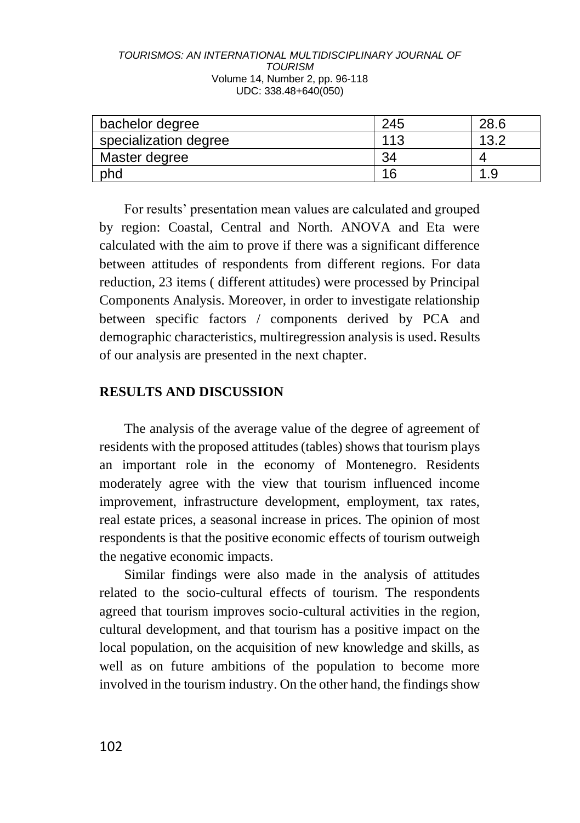| bachelor degree       | 245 | 28.6 |
|-----------------------|-----|------|
| specialization degree | 113 | 13.2 |
| Master degree         | 34  |      |
| phd                   | 16  |      |

For results' presentation mean values are calculated and grouped by region: Coastal, Central and North. ANOVA and Eta were calculated with the aim to prove if there was a significant difference between attitudes of respondents from different regions. For data reduction, 23 items ( different attitudes) were processed by Principal Components Analysis. Moreover, in order to investigate relationship between specific factors / components derived by PCA and demographic characteristics, multiregression analysis is used. Results of our analysis are presented in the next chapter.

### **RESULTS AND DISCUSSION**

The analysis of the average value of the degree of agreement of residents with the proposed attitudes (tables) shows that tourism plays an important role in the economy of Montenegro. Residents moderately agree with the view that tourism influenced income improvement, infrastructure development, employment, tax rates, real estate prices, a seasonal increase in prices. The opinion of most respondents is that the positive economic effects of tourism outweigh the negative economic impacts.

Similar findings were also made in the analysis of attitudes related to the socio-cultural effects of tourism. The respondents agreed that tourism improves socio-cultural activities in the region, cultural development, and that tourism has a positive impact on the local population, on the acquisition of new knowledge and skills, as well as on future ambitions of the population to become more involved in the tourism industry. On the other hand, the findings show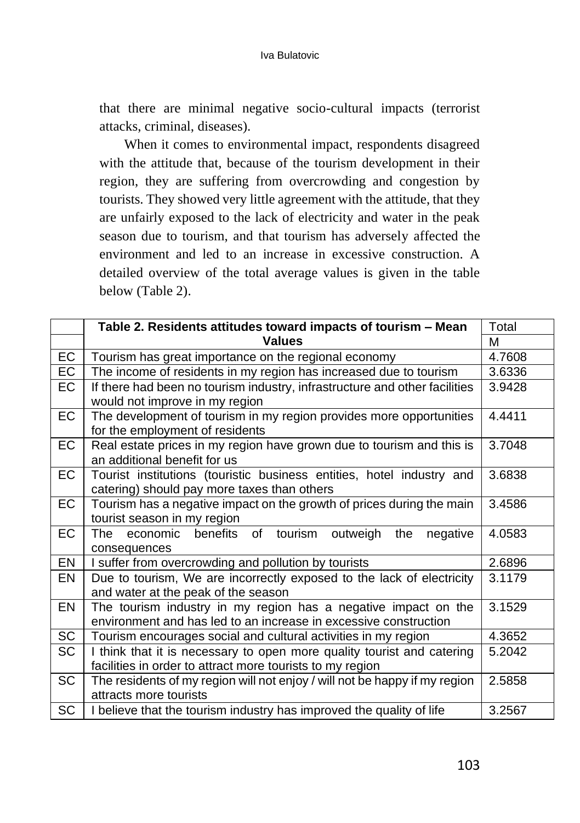that there are minimal negative socio-cultural impacts (terrorist attacks, criminal, diseases).

When it comes to environmental impact, respondents disagreed with the attitude that, because of the tourism development in their region, they are suffering from overcrowding and congestion by tourists. They showed very little agreement with the attitude, that they are unfairly exposed to the lack of electricity and water in the peak season due to tourism, and that tourism has adversely affected the environment and led to an increase in excessive construction. A detailed overview of the total average values is given in the table below (Table 2).

|           | Table 2. Residents attitudes toward impacts of tourism - Mean                                        | Total  |
|-----------|------------------------------------------------------------------------------------------------------|--------|
|           | <b>Values</b>                                                                                        | м      |
| EC        | Tourism has great importance on the regional economy                                                 | 4.7608 |
| EC        | The income of residents in my region has increased due to tourism                                    | 3.6336 |
| EC        | If there had been no tourism industry, infrastructure and other facilities                           | 3.9428 |
|           | would not improve in my region                                                                       |        |
| EC        | The development of tourism in my region provides more opportunities                                  | 4.4411 |
|           | for the employment of residents                                                                      |        |
| EC        | Real estate prices in my region have grown due to tourism and this is                                | 3.7048 |
|           | an additional benefit for us                                                                         |        |
| EC        | Tourist institutions (touristic business entities, hotel industry and                                | 3.6838 |
| EC        | catering) should pay more taxes than others                                                          | 3.4586 |
|           | Tourism has a negative impact on the growth of prices during the main<br>tourist season in my region |        |
| EC        | The<br>economic<br>benefits<br>of<br>tourism<br>outweigh<br>the<br>negative                          | 4.0583 |
|           | consequences                                                                                         |        |
| EN        | I suffer from overcrowding and pollution by tourists                                                 | 2.6896 |
| EN        | Due to tourism, We are incorrectly exposed to the lack of electricity                                | 3.1179 |
|           | and water at the peak of the season                                                                  |        |
| EN        | The tourism industry in my region has a negative impact on the                                       | 3.1529 |
|           | environment and has led to an increase in excessive construction                                     |        |
| SC        | Tourism encourages social and cultural activities in my region                                       | 4.3652 |
| SC        | I think that it is necessary to open more quality tourist and catering                               | 5.2042 |
|           | facilities in order to attract more tourists to my region                                            |        |
| SC        | The residents of my region will not enjoy / will not be happy if my region                           | 2.5858 |
|           | attracts more tourists                                                                               |        |
| <b>SC</b> | I believe that the tourism industry has improved the quality of life                                 | 3.2567 |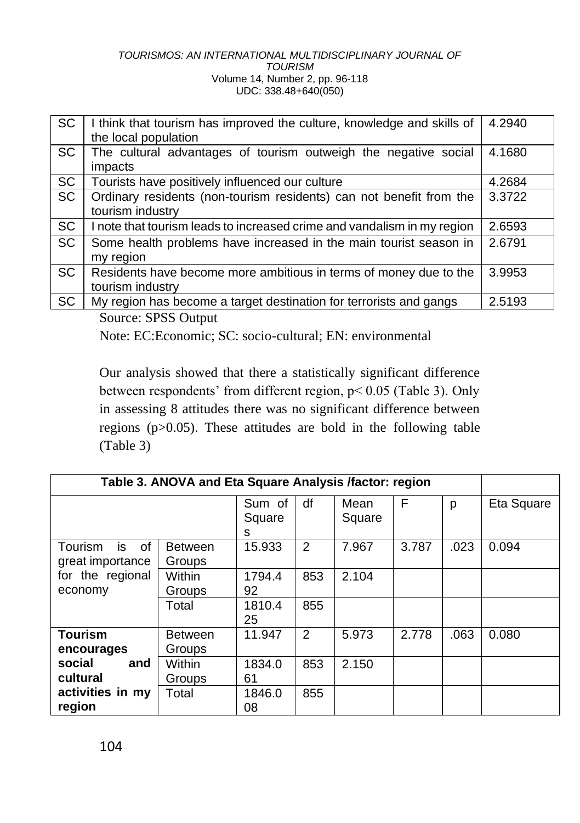| SC        | I think that tourism has improved the culture, knowledge and skills of<br>the local population | 4.2940 |
|-----------|------------------------------------------------------------------------------------------------|--------|
| <b>SC</b> | The cultural advantages of tourism outweigh the negative social<br>impacts                     | 4.1680 |
| SC        | Tourists have positively influenced our culture                                                | 4.2684 |
| <b>SC</b> | Ordinary residents (non-tourism residents) can not benefit from the<br>tourism industry        | 3.3722 |
| <b>SC</b> | I note that tourism leads to increased crime and vandalism in my region                        | 2.6593 |
| <b>SC</b> | Some health problems have increased in the main tourist season in<br>my region                 | 2.6791 |
| <b>SC</b> | Residents have become more ambitious in terms of money due to the<br>tourism industry          | 3.9953 |
| SC        | My region has become a target destination for terrorists and gangs                             | 2.5193 |

Source: SPSS Output

Note: EC:Economic; SC: socio-cultural; EN: environmental

Our analysis showed that there a statistically significant difference between respondents' from different region, p< 0.05 (Table 3). Only in assessing 8 attitudes there was no significant difference between regions (p>0.05). These attitudes are bold in the following table (Table 3)

|                                         | Table 3. ANOVA and Eta Square Analysis /factor: region |                       |                |                |       |      |            |
|-----------------------------------------|--------------------------------------------------------|-----------------------|----------------|----------------|-------|------|------------|
|                                         |                                                        | Sum of<br>Square<br>s | df             | Mean<br>Square | F     | p    | Eta Square |
| Tourism<br>is<br>οf<br>great importance | <b>Between</b><br>Groups                               | 15.933                | $\overline{2}$ | 7.967          | 3.787 | .023 | 0.094      |
| for the regional<br>economy             | Within<br>Groups                                       | 1794.4<br>92          | 853            | 2.104          |       |      |            |
|                                         | Total                                                  | 1810.4<br>25          | 855            |                |       |      |            |
| <b>Tourism</b><br>encourages            | <b>Between</b><br>Groups                               | 11.947                | 2              | 5.973          | 2.778 | .063 | 0.080      |
| social<br>and<br>cultural               | Within<br>Groups                                       | 1834.0<br>61          | 853            | 2.150          |       |      |            |
| activities in my<br>region              | Total                                                  | 1846.0<br>08          | 855            |                |       |      |            |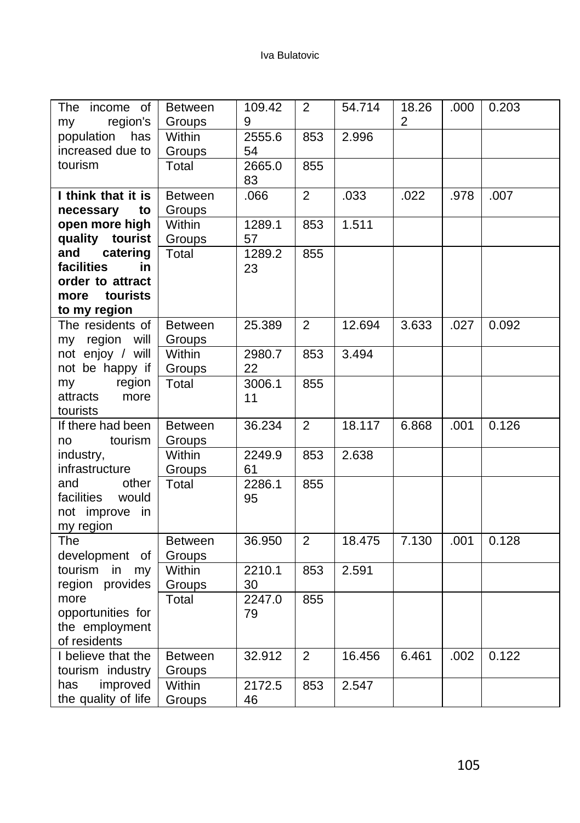| The<br>income of<br>region's<br>my | <b>Between</b><br>Groups | 109.42<br>9 | $\overline{2}$ | 54.714 | 18.26<br>2 | .000 | 0.203 |
|------------------------------------|--------------------------|-------------|----------------|--------|------------|------|-------|
| population<br>has                  | Within                   | 2555.6      | 853            | 2.996  |            |      |       |
| increased due to                   | Groups                   | 54          |                |        |            |      |       |
| tourism                            | Total                    | 2665.0      | 855            |        |            |      |       |
|                                    |                          | 83          |                |        |            |      |       |
| I think that it is                 | <b>Between</b>           | .066        | $\overline{2}$ | .033   | .022       | .978 | .007  |
| to<br>necessary                    | Groups                   |             |                |        |            |      |       |
| open more high                     | Within                   | 1289.1      | 853            | 1.511  |            |      |       |
| quality<br>tourist                 | Groups                   | 57          |                |        |            |      |       |
| and<br>catering                    | Total                    | 1289.2      | 855            |        |            |      |       |
| facilities<br>in                   |                          | 23          |                |        |            |      |       |
| order to attract                   |                          |             |                |        |            |      |       |
| tourists<br>more                   |                          |             |                |        |            |      |       |
| to my region<br>The residents of   | <b>Between</b>           | 25.389      | $\overline{2}$ | 12.694 | 3.633      | .027 | 0.092 |
| my region will                     | Groups                   |             |                |        |            |      |       |
| not enjoy / will                   | Within                   | 2980.7      | 853            | 3.494  |            |      |       |
| not be happy if                    | Groups                   | 22          |                |        |            |      |       |
| region<br>my                       | Total                    | 3006.1      | 855            |        |            |      |       |
| attracts<br>more                   |                          | 11          |                |        |            |      |       |
| tourists                           |                          |             |                |        |            |      |       |
| If there had been                  | <b>Between</b>           | 36.234      | $\overline{2}$ | 18.117 | 6.868      | .001 | 0.126 |
| tourism<br>no                      | Groups                   |             |                |        |            |      |       |
| industry,                          | Within                   | 2249.9      | 853            | 2.638  |            |      |       |
| infrastructure                     | Groups                   | 61          |                |        |            |      |       |
| and<br>other                       | Total                    | 2286.1      | 855            |        |            |      |       |
| facilities<br>would                |                          | 95          |                |        |            |      |       |
| not improve in                     |                          |             |                |        |            |      |       |
| my region                          |                          |             |                |        |            |      |       |
| The                                | <b>Between</b>           | 36.950      | $\overline{2}$ | 18.475 | 7.130      | .001 | 0.128 |
| development of                     | Groups                   |             |                |        |            |      |       |
| tourism in my                      | Within                   | 2210.1      | 853            | 2.591  |            |      |       |
| region provides                    | Groups                   | 30          |                |        |            |      |       |
| more                               | Total                    | 2247.0      | 855            |        |            |      |       |
| opportunities for                  |                          | 79          |                |        |            |      |       |
| the employment<br>of residents     |                          |             |                |        |            |      |       |
| I believe that the                 | <b>Between</b>           | 32.912      | $\overline{c}$ | 16.456 | 6.461      | .002 | 0.122 |
| tourism industry                   | Groups                   |             |                |        |            |      |       |
| has<br>improved                    | Within                   | 2172.5      | 853            | 2.547  |            |      |       |
| the quality of life                | Groups                   | 46          |                |        |            |      |       |
|                                    |                          |             |                |        |            |      |       |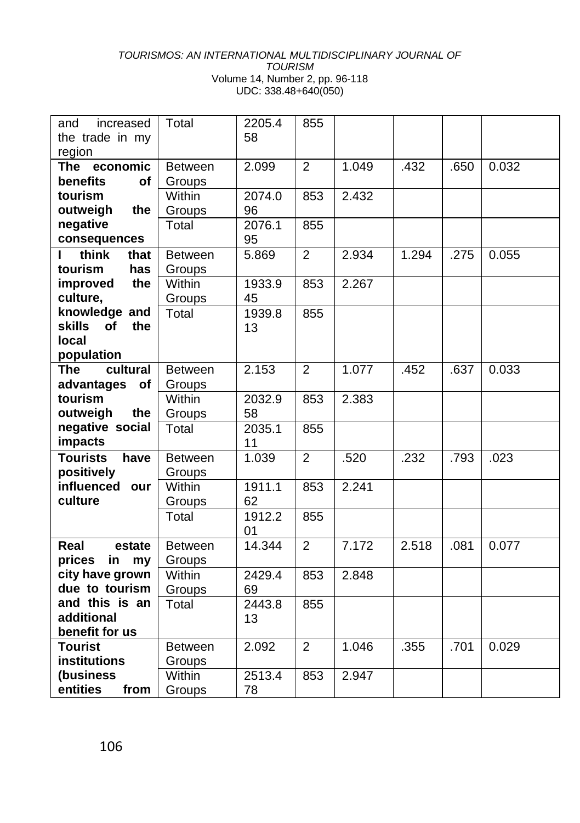| and<br>increased           | Total          | 2205.4 | 855            |       |       |      |       |
|----------------------------|----------------|--------|----------------|-------|-------|------|-------|
| the trade in my            |                | 58     |                |       |       |      |       |
| region                     |                |        |                |       |       |      |       |
| economic<br><b>The</b>     | <b>Between</b> | 2.099  | 2              | 1.049 | .432  | .650 | 0.032 |
| benefits<br>Οf             | Groups         |        |                |       |       |      |       |
| tourism                    | Within         | 2074.0 | 853            | 2.432 |       |      |       |
| outweigh<br>the            | Groups         | 96     |                |       |       |      |       |
| negative                   | Total          | 2076.1 | 855            |       |       |      |       |
| consequences               |                | 95     |                |       |       |      |       |
| think<br>г<br>that         | <b>Between</b> | 5.869  | $\overline{2}$ | 2.934 | 1.294 | .275 | 0.055 |
| tourism<br>has             | Groups         |        |                |       |       |      |       |
| improved<br>the            | Within         | 1933.9 | 853            | 2.267 |       |      |       |
| culture,                   | Groups         | 45     |                |       |       |      |       |
| knowledge and              | Total          | 1939.8 | 855            |       |       |      |       |
| <b>skills</b><br>of<br>the |                | 13     |                |       |       |      |       |
| local                      |                |        |                |       |       |      |       |
| population                 |                |        |                |       |       |      |       |
| cultural<br><b>The</b>     | <b>Between</b> | 2.153  | 2              | 1.077 | .452  | .637 | 0.033 |
| advantages<br>of           | Groups         |        |                |       |       |      |       |
| tourism                    | Within         | 2032.9 | 853            | 2.383 |       |      |       |
| outweigh<br>the            | Groups         | 58     |                |       |       |      |       |
| negative social            | Total          | 2035.1 | 855            |       |       |      |       |
| impacts                    |                | 11     |                |       |       |      |       |
| <b>Tourists</b><br>have    | Between        | 1.039  | 2              | .520  | .232  | .793 | .023  |
| positively                 | Groups         |        |                |       |       |      |       |
| influenced our             | Within         | 1911.1 | 853            | 2.241 |       |      |       |
| culture                    | Groups         | 62     |                |       |       |      |       |
|                            | Total          | 1912.2 | 855            |       |       |      |       |
|                            |                | 01     |                |       |       |      |       |
| Real<br>estate             | <b>Between</b> | 14.344 | $\overline{2}$ | 7.172 | 2.518 | .081 | 0.077 |
| prices<br>in<br>my         | Groups         |        |                |       |       |      |       |
| city have grown            | Within         | 2429.4 | 853            | 2.848 |       |      |       |
| due to tourism             | Groups         | 69     |                |       |       |      |       |
| and this is an             | Total          | 2443.8 | 855            |       |       |      |       |
| additional                 |                | 13     |                |       |       |      |       |
| benefit for us             |                |        |                |       |       |      |       |
| <b>Tourist</b>             | <b>Between</b> | 2.092  | 2              | 1.046 | .355  | .701 | 0.029 |
| <b>institutions</b>        | Groups         |        |                |       |       |      |       |
| (business                  | Within         | 2513.4 | 853            | 2.947 |       |      |       |
| entities<br>from           | Groups         | 78     |                |       |       |      |       |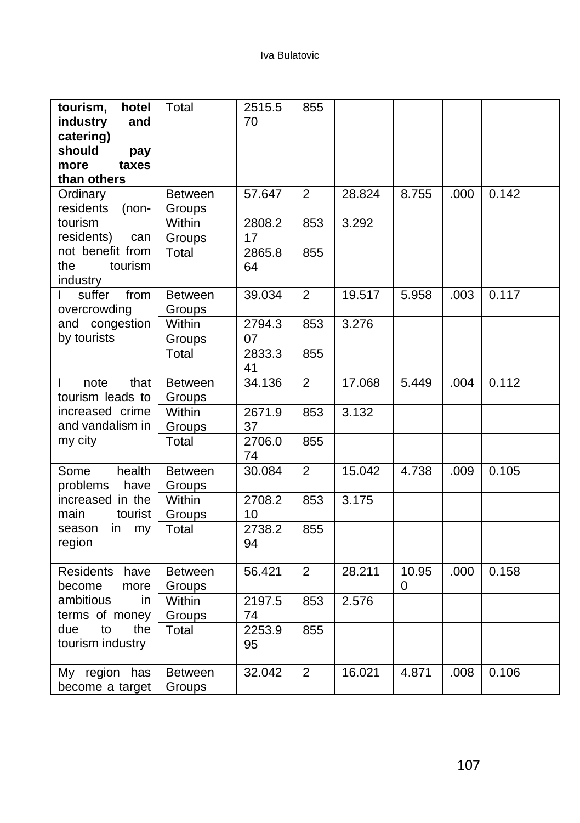| tourism,<br>hotel<br>industry<br>and<br>catering)<br>should<br>pay<br>more<br>taxes<br>than others | Total                    | 2515.5<br>70 | 855            |        |            |      |       |
|----------------------------------------------------------------------------------------------------|--------------------------|--------------|----------------|--------|------------|------|-------|
| Ordinary<br>residents<br>$(non-$                                                                   | <b>Between</b><br>Groups | 57.647       | 2              | 28.824 | 8.755      | .000 | 0.142 |
| tourism<br>residents)<br>can                                                                       | Within<br>Groups         | 2808.2<br>17 | 853            | 3.292  |            |      |       |
| not benefit from<br>the<br>tourism<br>industry                                                     | Total                    | 2865.8<br>64 | 855            |        |            |      |       |
| from<br>suffer<br>overcrowding                                                                     | <b>Between</b><br>Groups | 39.034       | $\overline{2}$ | 19.517 | 5.958      | .003 | 0.117 |
| and congestion<br>by tourists                                                                      | Within<br>Groups         | 2794.3<br>07 | 853            | 3.276  |            |      |       |
|                                                                                                    | Total                    | 2833.3<br>41 | 855            |        |            |      |       |
| that<br>note<br>L<br>tourism leads to                                                              | <b>Between</b><br>Groups | 34.136       | $\overline{2}$ | 17.068 | 5.449      | .004 | 0.112 |
| increased crime<br>and vandalism in                                                                | Within<br>Groups         | 2671.9<br>37 | 853            | 3.132  |            |      |       |
| my city                                                                                            | Total                    | 2706.0<br>74 | 855            |        |            |      |       |
| health<br>Some<br>problems<br>have                                                                 | <b>Between</b><br>Groups | 30.084       | $\overline{2}$ | 15.042 | 4.738      | .009 | 0.105 |
| increased in the<br>tourist<br>main                                                                | Within<br>Groups         | 2708.2<br>10 | 853            | 3.175  |            |      |       |
| season<br>in<br>my<br>region                                                                       | Total                    | 2738.2<br>94 | 855            |        |            |      |       |
| <b>Residents</b><br>have<br>become<br>more                                                         | <b>Between</b><br>Groups | 56.421       | $\overline{2}$ | 28.211 | 10.95<br>0 | .000 | 0.158 |
| ambitious<br>in.<br>terms of money                                                                 | Within<br>Groups         | 2197.5<br>74 | 853            | 2.576  |            |      |       |
| to<br>the<br>due<br>tourism industry                                                               | Total                    | 2253.9<br>95 | 855            |        |            |      |       |
| region<br>has<br>My<br>become a target                                                             | <b>Between</b><br>Groups | 32.042       | $\overline{2}$ | 16.021 | 4.871      | .008 | 0.106 |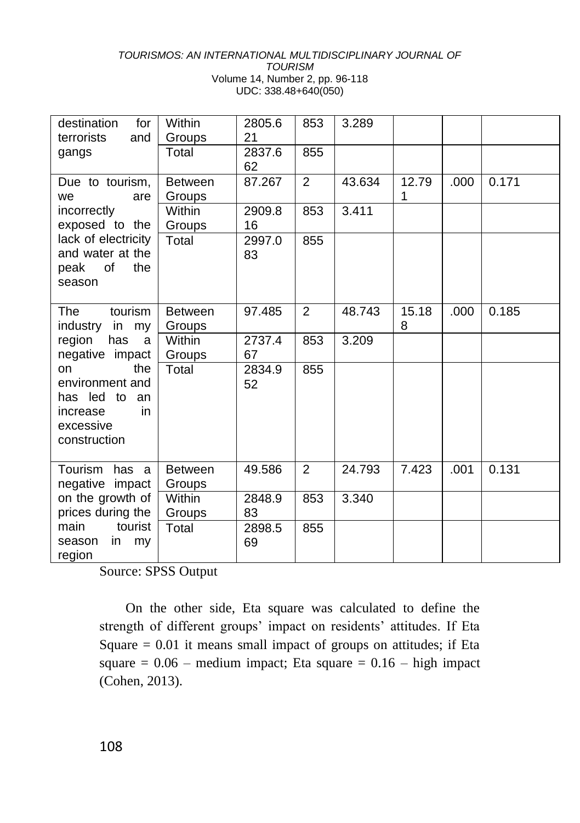| destination<br>for<br>terrorists<br>and                                                         | Within<br>Groups         | 2805.6<br>21 | 853            | 3.289  |            |      |       |
|-------------------------------------------------------------------------------------------------|--------------------------|--------------|----------------|--------|------------|------|-------|
| gangs                                                                                           | Total                    | 2837.6<br>62 | 855            |        |            |      |       |
| Due to tourism,<br>are<br>we                                                                    | <b>Between</b><br>Groups | 87.267       | 2              | 43.634 | 12.79<br>1 | .000 | 0.171 |
| incorrectly<br>exposed to the                                                                   | Within<br>Groups         | 2909.8<br>16 | 853            | 3.411  |            |      |       |
| lack of electricity<br>and water at the<br>of<br>the<br>peak<br>season                          | Total                    | 2997.0<br>83 | 855            |        |            |      |       |
| <b>The</b><br>tourism<br>industry<br>in<br>my                                                   | <b>Between</b><br>Groups | 97.485       | $\mathfrak{p}$ | 48.743 | 15.18<br>8 | .000 | 0.185 |
| region<br>has<br>a<br>negative impact                                                           | Within<br>Groups         | 2737.4<br>67 | 853            | 3.209  |            |      |       |
| the<br>on<br>environment and<br>has led to<br>an<br>in<br>increase<br>excessive<br>construction | Total                    | 2834.9<br>52 | 855            |        |            |      |       |
| Tourism<br>has a<br>negative impact                                                             | <b>Between</b><br>Groups | 49.586       | 2              | 24.793 | 7.423      | .001 | 0.131 |
| on the growth of<br>prices during the                                                           | Within<br>Groups         | 2848.9<br>83 | 853            | 3.340  |            |      |       |
| main<br>tourist<br>in<br>season<br>my<br>region                                                 | Total                    | 2898.5<br>69 | 855            |        |            |      |       |

Source: SPSS Output

On the other side, Eta square was calculated to define the strength of different groups' impact on residents' attitudes. If Eta Square  $= 0.01$  it means small impact of groups on attitudes; if Eta square  $= 0.06$  – medium impact; Eta square  $= 0.16$  – high impact (Cohen, 2013).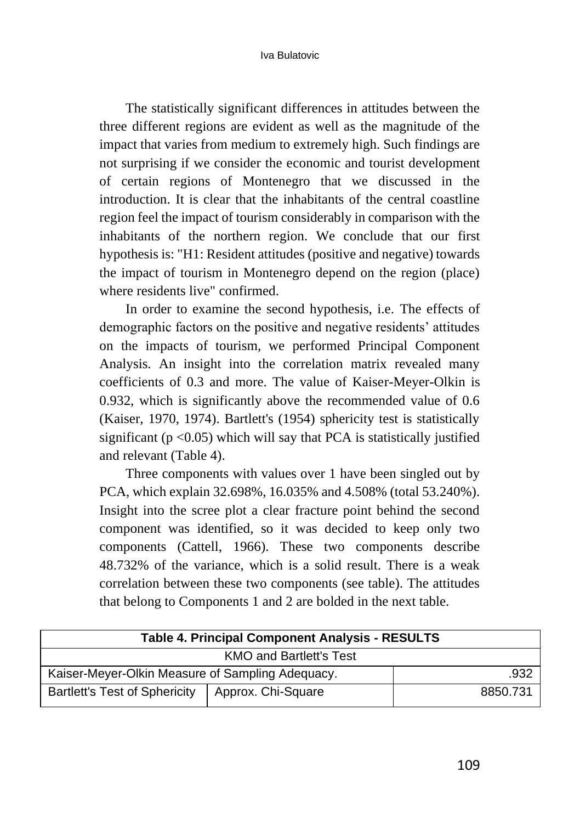The statistically significant differences in attitudes between the three different regions are evident as well as the magnitude of the impact that varies from medium to extremely high. Such findings are not surprising if we consider the economic and tourist development of certain regions of Montenegro that we discussed in the introduction. It is clear that the inhabitants of the central coastline region feel the impact of tourism considerably in comparison with the inhabitants of the northern region. We conclude that our first hypothesis is: "H1: Resident attitudes (positive and negative) towards the impact of tourism in Montenegro depend on the region (place) where residents live" confirmed.

In order to examine the second hypothesis, i.e. The effects of demographic factors on the positive and negative residents' attitudes on the impacts of tourism, we performed Principal Component Analysis. An insight into the correlation matrix revealed many coefficients of 0.3 and more. The value of Kaiser-Meyer-Olkin is 0.932, which is significantly above the recommended value of 0.6 (Kaiser, 1970, 1974). Bartlett's (1954) sphericity test is statistically significant ( $p < 0.05$ ) which will say that PCA is statistically justified and relevant (Table 4).

Three components with values over 1 have been singled out by PCA, which explain 32.698%, 16.035% and 4.508% (total 53.240%). Insight into the scree plot a clear fracture point behind the second component was identified, so it was decided to keep only two components (Cattell, 1966). These two components describe 48.732% of the variance, which is a solid result. There is a weak correlation between these two components (see table). The attitudes that belong to Components 1 and 2 are bolded in the next table.

| <b>Table 4. Principal Component Analysis - RESULTS</b> |                    |          |  |  |  |
|--------------------------------------------------------|--------------------|----------|--|--|--|
| <b>KMO and Bartlett's Test</b>                         |                    |          |  |  |  |
| Kaiser-Meyer-Olkin Measure of Sampling Adequacy.       | .932               |          |  |  |  |
| <b>Bartlett's Test of Sphericity</b>                   | Approx. Chi-Square | 8850.731 |  |  |  |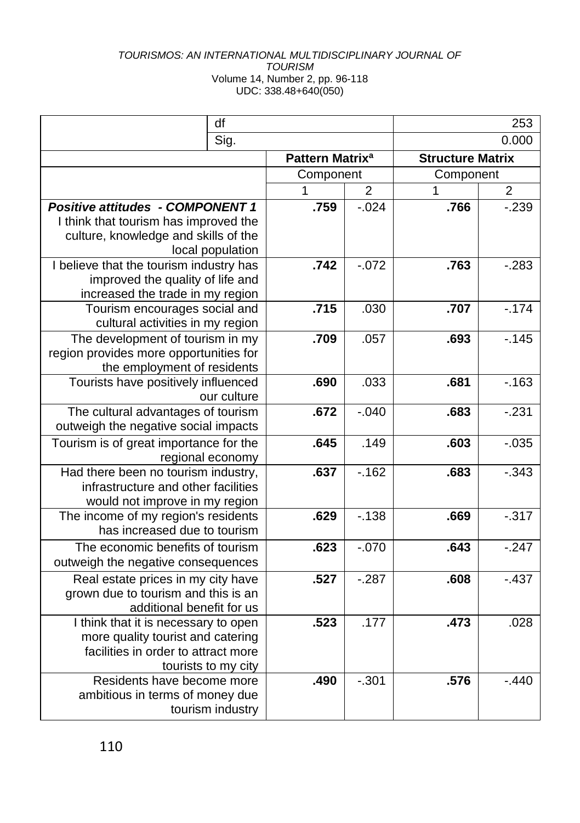|                                                                          | df                  |                             |                |                         | 253            |
|--------------------------------------------------------------------------|---------------------|-----------------------------|----------------|-------------------------|----------------|
|                                                                          | Sig.                |                             |                | 0.000                   |                |
|                                                                          |                     | Pattern Matrix <sup>a</sup> |                | <b>Structure Matrix</b> |                |
|                                                                          |                     | Component                   |                | Component               |                |
|                                                                          |                     | 1                           | $\overline{2}$ | 1                       | $\overline{2}$ |
| <b>Positive attitudes - COMPONENT 1</b>                                  |                     | .759                        | $-0.024$       | .766                    | $-239$         |
| I think that tourism has improved the                                    |                     |                             |                |                         |                |
| culture, knowledge and skills of the                                     |                     |                             |                |                         |                |
|                                                                          | local population    |                             |                |                         |                |
| I believe that the tourism industry has                                  |                     | .742                        | $-.072$        | .763                    | $-0.283$       |
| improved the quality of life and<br>increased the trade in my region     |                     |                             |                |                         |                |
| Tourism encourages social and                                            |                     | .715                        | .030           | .707                    | $-.174$        |
| cultural activities in my region                                         |                     |                             |                |                         |                |
| The development of tourism in my                                         |                     | .709                        | .057           | .693                    | $-.145$        |
| region provides more opportunities for                                   |                     |                             |                |                         |                |
| the employment of residents                                              |                     |                             |                |                         |                |
| Tourists have positively influenced                                      |                     | .690                        | .033           | .681                    | $-163$         |
|                                                                          | our culture         |                             |                |                         |                |
| The cultural advantages of tourism                                       |                     | .672                        | $-.040$        | .683                    | $-231$         |
| outweigh the negative social impacts                                     |                     |                             |                |                         |                |
| Tourism is of great importance for the                                   |                     | .645                        | .149           | .603                    | $-0.035$       |
| regional economy<br>Had there been no tourism industry,                  |                     | .637                        | $-162$         | .683                    | $-0.343$       |
| infrastructure and other facilities                                      |                     |                             |                |                         |                |
| would not improve in my region                                           |                     |                             |                |                         |                |
| The income of my region's residents                                      |                     | .629                        | $-138$         | .669                    | $-317$         |
| has increased due to tourism                                             |                     |                             |                |                         |                |
| The economic benefits of tourism                                         |                     | .623                        | $-.070$        | .643                    | $-247$         |
| outweigh the negative consequences                                       |                     |                             |                |                         |                |
| Real estate prices in my city have                                       |                     | .527                        | $-287$         | .608                    | $-.437$        |
| grown due to tourism and this is an                                      |                     |                             |                |                         |                |
| additional benefit for us                                                |                     |                             |                |                         |                |
| I think that it is necessary to open                                     |                     | .523                        | .177           | .473                    | .028           |
| more quality tourist and catering<br>facilities in order to attract more |                     |                             |                |                         |                |
|                                                                          | tourists to my city |                             |                |                         |                |
| Residents have become more                                               |                     | .490                        | $-.301$        | .576                    | $-.440$        |
| ambitious in terms of money due                                          |                     |                             |                |                         |                |
|                                                                          | tourism industry    |                             |                |                         |                |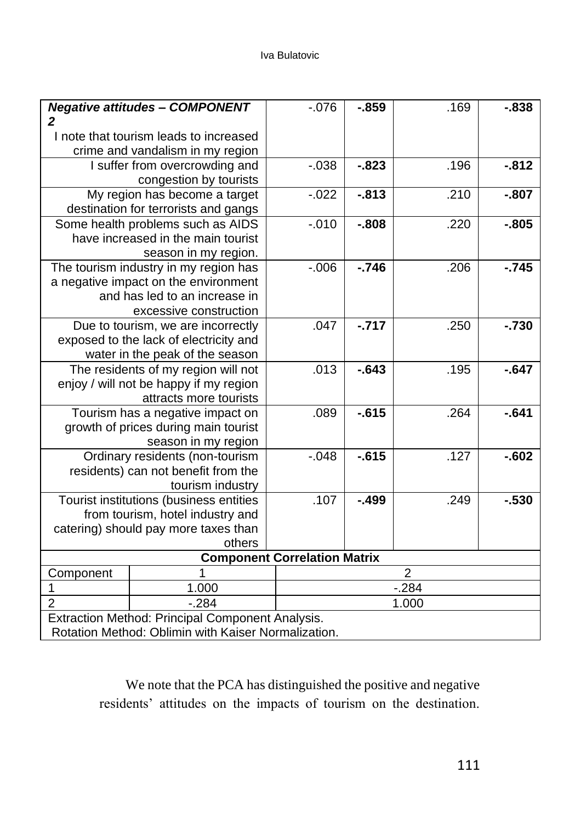#### Iva Bulatovic

| I note that tourism leads to increased<br>crime and vandalism in my region<br>.196<br>$-0.812$<br>$-.038$<br>$-.823$<br>I suffer from overcrowding and<br>congestion by tourists<br>My region has become a target<br>$-.022$<br>$-0.813$<br>.210<br>$-.807$<br>destination for terrorists and gangs<br>Some health problems such as AIDS<br>$-.010$<br>$-0.808$<br>$-0.805$<br>.220<br>have increased in the main tourist<br>season in my region.<br>$-746$<br>$-0.006$<br>.206<br>$-.745$<br>The tourism industry in my region has<br>a negative impact on the environment<br>and has led to an increase in<br>excessive construction<br>$-717$<br>.047<br>$-.730$<br>.250<br>Due to tourism, we are incorrectly<br>exposed to the lack of electricity and<br>water in the peak of the season<br>.013<br>$-643$<br>.195<br>$-.647$<br>The residents of my region will not<br>enjoy / will not be happy if my region<br>attracts more tourists<br>.089<br>$-615$<br>$-641$<br>.264<br>Tourism has a negative impact on<br>growth of prices during main tourist<br>season in my region<br>$-615$<br>.127<br>$-0.048$<br>$-602$<br>Ordinary residents (non-tourism<br>residents) can not benefit from the<br>tourism industry<br>.107<br>$-499$<br>Tourist institutions (business entities<br>.249<br>$-.530$<br>from tourism, hotel industry and<br>catering) should pay more taxes than<br>others<br><b>Component Correlation Matrix</b><br>$\overline{2}$<br>Component<br>1<br>1.000<br>$-.284$<br>1<br>$\overline{2}$<br>$-.284$<br>1.000<br>Extraction Method: Principal Component Analysis.<br>Rotation Method: Oblimin with Kaiser Normalization. |   | <b>Negative attitudes - COMPONENT</b> | $-0.076$ | $-859$ | .169 | $-838$ |  |  |  |
|--------------------------------------------------------------------------------------------------------------------------------------------------------------------------------------------------------------------------------------------------------------------------------------------------------------------------------------------------------------------------------------------------------------------------------------------------------------------------------------------------------------------------------------------------------------------------------------------------------------------------------------------------------------------------------------------------------------------------------------------------------------------------------------------------------------------------------------------------------------------------------------------------------------------------------------------------------------------------------------------------------------------------------------------------------------------------------------------------------------------------------------------------------------------------------------------------------------------------------------------------------------------------------------------------------------------------------------------------------------------------------------------------------------------------------------------------------------------------------------------------------------------------------------------------------------------------------------------------------------------------------------------------------|---|---------------------------------------|----------|--------|------|--------|--|--|--|
|                                                                                                                                                                                                                                                                                                                                                                                                                                                                                                                                                                                                                                                                                                                                                                                                                                                                                                                                                                                                                                                                                                                                                                                                                                                                                                                                                                                                                                                                                                                                                                                                                                                        | 2 |                                       |          |        |      |        |  |  |  |
|                                                                                                                                                                                                                                                                                                                                                                                                                                                                                                                                                                                                                                                                                                                                                                                                                                                                                                                                                                                                                                                                                                                                                                                                                                                                                                                                                                                                                                                                                                                                                                                                                                                        |   |                                       |          |        |      |        |  |  |  |
|                                                                                                                                                                                                                                                                                                                                                                                                                                                                                                                                                                                                                                                                                                                                                                                                                                                                                                                                                                                                                                                                                                                                                                                                                                                                                                                                                                                                                                                                                                                                                                                                                                                        |   |                                       |          |        |      |        |  |  |  |
|                                                                                                                                                                                                                                                                                                                                                                                                                                                                                                                                                                                                                                                                                                                                                                                                                                                                                                                                                                                                                                                                                                                                                                                                                                                                                                                                                                                                                                                                                                                                                                                                                                                        |   |                                       |          |        |      |        |  |  |  |
|                                                                                                                                                                                                                                                                                                                                                                                                                                                                                                                                                                                                                                                                                                                                                                                                                                                                                                                                                                                                                                                                                                                                                                                                                                                                                                                                                                                                                                                                                                                                                                                                                                                        |   |                                       |          |        |      |        |  |  |  |
|                                                                                                                                                                                                                                                                                                                                                                                                                                                                                                                                                                                                                                                                                                                                                                                                                                                                                                                                                                                                                                                                                                                                                                                                                                                                                                                                                                                                                                                                                                                                                                                                                                                        |   |                                       |          |        |      |        |  |  |  |
|                                                                                                                                                                                                                                                                                                                                                                                                                                                                                                                                                                                                                                                                                                                                                                                                                                                                                                                                                                                                                                                                                                                                                                                                                                                                                                                                                                                                                                                                                                                                                                                                                                                        |   |                                       |          |        |      |        |  |  |  |
|                                                                                                                                                                                                                                                                                                                                                                                                                                                                                                                                                                                                                                                                                                                                                                                                                                                                                                                                                                                                                                                                                                                                                                                                                                                                                                                                                                                                                                                                                                                                                                                                                                                        |   |                                       |          |        |      |        |  |  |  |
|                                                                                                                                                                                                                                                                                                                                                                                                                                                                                                                                                                                                                                                                                                                                                                                                                                                                                                                                                                                                                                                                                                                                                                                                                                                                                                                                                                                                                                                                                                                                                                                                                                                        |   |                                       |          |        |      |        |  |  |  |
|                                                                                                                                                                                                                                                                                                                                                                                                                                                                                                                                                                                                                                                                                                                                                                                                                                                                                                                                                                                                                                                                                                                                                                                                                                                                                                                                                                                                                                                                                                                                                                                                                                                        |   |                                       |          |        |      |        |  |  |  |
|                                                                                                                                                                                                                                                                                                                                                                                                                                                                                                                                                                                                                                                                                                                                                                                                                                                                                                                                                                                                                                                                                                                                                                                                                                                                                                                                                                                                                                                                                                                                                                                                                                                        |   |                                       |          |        |      |        |  |  |  |
|                                                                                                                                                                                                                                                                                                                                                                                                                                                                                                                                                                                                                                                                                                                                                                                                                                                                                                                                                                                                                                                                                                                                                                                                                                                                                                                                                                                                                                                                                                                                                                                                                                                        |   |                                       |          |        |      |        |  |  |  |
|                                                                                                                                                                                                                                                                                                                                                                                                                                                                                                                                                                                                                                                                                                                                                                                                                                                                                                                                                                                                                                                                                                                                                                                                                                                                                                                                                                                                                                                                                                                                                                                                                                                        |   |                                       |          |        |      |        |  |  |  |
|                                                                                                                                                                                                                                                                                                                                                                                                                                                                                                                                                                                                                                                                                                                                                                                                                                                                                                                                                                                                                                                                                                                                                                                                                                                                                                                                                                                                                                                                                                                                                                                                                                                        |   |                                       |          |        |      |        |  |  |  |
|                                                                                                                                                                                                                                                                                                                                                                                                                                                                                                                                                                                                                                                                                                                                                                                                                                                                                                                                                                                                                                                                                                                                                                                                                                                                                                                                                                                                                                                                                                                                                                                                                                                        |   |                                       |          |        |      |        |  |  |  |
|                                                                                                                                                                                                                                                                                                                                                                                                                                                                                                                                                                                                                                                                                                                                                                                                                                                                                                                                                                                                                                                                                                                                                                                                                                                                                                                                                                                                                                                                                                                                                                                                                                                        |   |                                       |          |        |      |        |  |  |  |
|                                                                                                                                                                                                                                                                                                                                                                                                                                                                                                                                                                                                                                                                                                                                                                                                                                                                                                                                                                                                                                                                                                                                                                                                                                                                                                                                                                                                                                                                                                                                                                                                                                                        |   |                                       |          |        |      |        |  |  |  |
|                                                                                                                                                                                                                                                                                                                                                                                                                                                                                                                                                                                                                                                                                                                                                                                                                                                                                                                                                                                                                                                                                                                                                                                                                                                                                                                                                                                                                                                                                                                                                                                                                                                        |   |                                       |          |        |      |        |  |  |  |
|                                                                                                                                                                                                                                                                                                                                                                                                                                                                                                                                                                                                                                                                                                                                                                                                                                                                                                                                                                                                                                                                                                                                                                                                                                                                                                                                                                                                                                                                                                                                                                                                                                                        |   |                                       |          |        |      |        |  |  |  |
|                                                                                                                                                                                                                                                                                                                                                                                                                                                                                                                                                                                                                                                                                                                                                                                                                                                                                                                                                                                                                                                                                                                                                                                                                                                                                                                                                                                                                                                                                                                                                                                                                                                        |   |                                       |          |        |      |        |  |  |  |
|                                                                                                                                                                                                                                                                                                                                                                                                                                                                                                                                                                                                                                                                                                                                                                                                                                                                                                                                                                                                                                                                                                                                                                                                                                                                                                                                                                                                                                                                                                                                                                                                                                                        |   |                                       |          |        |      |        |  |  |  |
|                                                                                                                                                                                                                                                                                                                                                                                                                                                                                                                                                                                                                                                                                                                                                                                                                                                                                                                                                                                                                                                                                                                                                                                                                                                                                                                                                                                                                                                                                                                                                                                                                                                        |   |                                       |          |        |      |        |  |  |  |
|                                                                                                                                                                                                                                                                                                                                                                                                                                                                                                                                                                                                                                                                                                                                                                                                                                                                                                                                                                                                                                                                                                                                                                                                                                                                                                                                                                                                                                                                                                                                                                                                                                                        |   |                                       |          |        |      |        |  |  |  |
|                                                                                                                                                                                                                                                                                                                                                                                                                                                                                                                                                                                                                                                                                                                                                                                                                                                                                                                                                                                                                                                                                                                                                                                                                                                                                                                                                                                                                                                                                                                                                                                                                                                        |   |                                       |          |        |      |        |  |  |  |
|                                                                                                                                                                                                                                                                                                                                                                                                                                                                                                                                                                                                                                                                                                                                                                                                                                                                                                                                                                                                                                                                                                                                                                                                                                                                                                                                                                                                                                                                                                                                                                                                                                                        |   |                                       |          |        |      |        |  |  |  |
|                                                                                                                                                                                                                                                                                                                                                                                                                                                                                                                                                                                                                                                                                                                                                                                                                                                                                                                                                                                                                                                                                                                                                                                                                                                                                                                                                                                                                                                                                                                                                                                                                                                        |   |                                       |          |        |      |        |  |  |  |
|                                                                                                                                                                                                                                                                                                                                                                                                                                                                                                                                                                                                                                                                                                                                                                                                                                                                                                                                                                                                                                                                                                                                                                                                                                                                                                                                                                                                                                                                                                                                                                                                                                                        |   |                                       |          |        |      |        |  |  |  |
|                                                                                                                                                                                                                                                                                                                                                                                                                                                                                                                                                                                                                                                                                                                                                                                                                                                                                                                                                                                                                                                                                                                                                                                                                                                                                                                                                                                                                                                                                                                                                                                                                                                        |   |                                       |          |        |      |        |  |  |  |
|                                                                                                                                                                                                                                                                                                                                                                                                                                                                                                                                                                                                                                                                                                                                                                                                                                                                                                                                                                                                                                                                                                                                                                                                                                                                                                                                                                                                                                                                                                                                                                                                                                                        |   |                                       |          |        |      |        |  |  |  |
|                                                                                                                                                                                                                                                                                                                                                                                                                                                                                                                                                                                                                                                                                                                                                                                                                                                                                                                                                                                                                                                                                                                                                                                                                                                                                                                                                                                                                                                                                                                                                                                                                                                        |   |                                       |          |        |      |        |  |  |  |
|                                                                                                                                                                                                                                                                                                                                                                                                                                                                                                                                                                                                                                                                                                                                                                                                                                                                                                                                                                                                                                                                                                                                                                                                                                                                                                                                                                                                                                                                                                                                                                                                                                                        |   |                                       |          |        |      |        |  |  |  |
|                                                                                                                                                                                                                                                                                                                                                                                                                                                                                                                                                                                                                                                                                                                                                                                                                                                                                                                                                                                                                                                                                                                                                                                                                                                                                                                                                                                                                                                                                                                                                                                                                                                        |   |                                       |          |        |      |        |  |  |  |
|                                                                                                                                                                                                                                                                                                                                                                                                                                                                                                                                                                                                                                                                                                                                                                                                                                                                                                                                                                                                                                                                                                                                                                                                                                                                                                                                                                                                                                                                                                                                                                                                                                                        |   |                                       |          |        |      |        |  |  |  |
|                                                                                                                                                                                                                                                                                                                                                                                                                                                                                                                                                                                                                                                                                                                                                                                                                                                                                                                                                                                                                                                                                                                                                                                                                                                                                                                                                                                                                                                                                                                                                                                                                                                        |   |                                       |          |        |      |        |  |  |  |
|                                                                                                                                                                                                                                                                                                                                                                                                                                                                                                                                                                                                                                                                                                                                                                                                                                                                                                                                                                                                                                                                                                                                                                                                                                                                                                                                                                                                                                                                                                                                                                                                                                                        |   |                                       |          |        |      |        |  |  |  |

We note that the PCA has distinguished the positive and negative residents' attitudes on the impacts of tourism on the destination.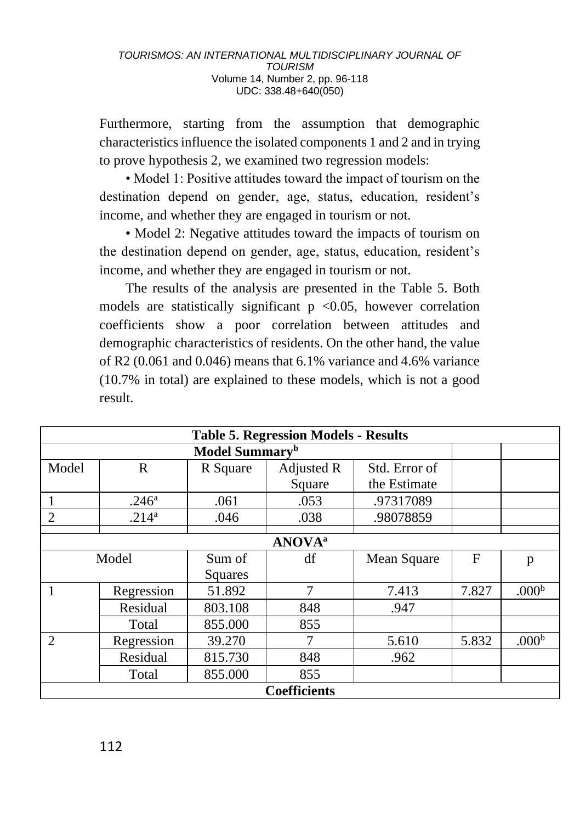Furthermore, starting from the assumption that demographic characteristics influence the isolated components 1 and 2 and in trying to prove hypothesis 2, we examined two regression models:

• Model 1: Positive attitudes toward the impact of tourism on the destination depend on gender, age, status, education, resident's income, and whether they are engaged in tourism or not.

• Model 2: Negative attitudes toward the impacts of tourism on the destination depend on gender, age, status, education, resident's income, and whether they are engaged in tourism or not.

The results of the analysis are presented in the Table 5. Both models are statistically significant  $p \le 0.05$ , however correlation coefficients show a poor correlation between attitudes and demographic characteristics of residents. On the other hand, the value of R2 (0.061 and 0.046) means that 6.1% variance and 4.6% variance (10.7% in total) are explained to these models, which is not a good result.

| <b>Table 5. Regression Models - Results</b> |                   |          |               |               |             |                   |  |  |  |
|---------------------------------------------|-------------------|----------|---------------|---------------|-------------|-------------------|--|--|--|
|                                             |                   |          |               |               |             |                   |  |  |  |
| Model                                       | $\mathbb{R}$      | R Square | Adjusted R    | Std. Error of |             |                   |  |  |  |
|                                             |                   |          | Square        | the Estimate  |             |                   |  |  |  |
|                                             | .246 <sup>a</sup> | .061     | .053          | .97317089     |             |                   |  |  |  |
| $\overline{2}$                              | .214 <sup>a</sup> | .046     | .038          | .98078859     |             |                   |  |  |  |
|                                             |                   |          |               |               |             |                   |  |  |  |
| <b>ANOVA</b> <sup>a</sup>                   |                   |          |               |               |             |                   |  |  |  |
| Model                                       |                   | Sum of   | df            | Mean Square   | $\mathbf F$ | p                 |  |  |  |
|                                             |                   | Squares  |               |               |             |                   |  |  |  |
|                                             | Regression        | 51.892   | $\mathcal{I}$ | 7.413         | 7.827       | .000 <sup>b</sup> |  |  |  |
|                                             | Residual          | 803.108  | 848           | .947          |             |                   |  |  |  |
|                                             | Total             | 855.000  | 855           |               |             |                   |  |  |  |
| $\mathfrak{D}$                              | Regression        | 39.270   |               | 5.610         | 5.832       | .000 <sup>b</sup> |  |  |  |
|                                             | Residual          | 815.730  | 848           | .962          |             |                   |  |  |  |
|                                             | Total             | 855.000  | 855           |               |             |                   |  |  |  |
| <b>Coefficients</b>                         |                   |          |               |               |             |                   |  |  |  |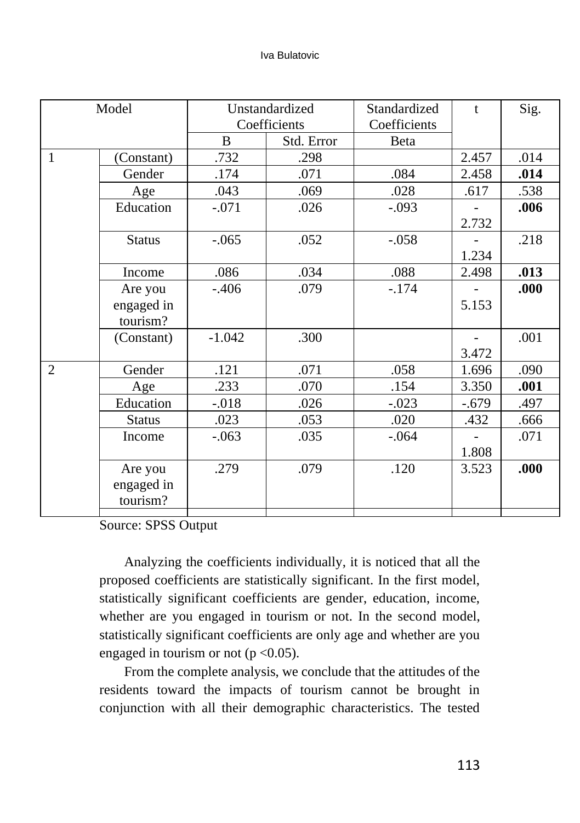| Model          |               | Unstandardized |            | Standardized | t       | Sig. |
|----------------|---------------|----------------|------------|--------------|---------|------|
|                |               | Coefficients   |            | Coefficients |         |      |
|                |               | B              | Std. Error | Beta         |         |      |
| 1              | (Constant)    | .732           | .298       |              | 2.457   | .014 |
|                | Gender        | .174           | .071       | .084         | 2.458   | .014 |
|                | Age           | .043           | .069       | .028         | .617    | .538 |
|                | Education     | $-.071$        | .026       | $-.093$      |         | .006 |
|                |               |                |            |              | 2.732   |      |
|                | <b>Status</b> | $-.065$        | .052       | $-.058$      |         | .218 |
|                |               |                |            |              | 1.234   |      |
|                | Income        | .086           | .034       | .088         | 2.498   | .013 |
|                | Are you       | $-.406$        | .079       | $-.174$      |         | .000 |
|                | engaged in    |                |            |              | 5.153   |      |
|                | tourism?      |                |            |              |         |      |
|                | (Constant)    | $-1.042$       | .300       |              |         | .001 |
|                |               |                |            |              | 3.472   |      |
| $\mathfrak{D}$ | Gender        | .121           | .071       | .058         | 1.696   | .090 |
|                | Age           | .233           | .070       | .154         | 3.350   | .001 |
|                | Education     | $-0.018$       | .026       | $-.023$      | $-.679$ | .497 |
|                | <b>Status</b> | .023           | .053       | .020         | .432    | .666 |
|                | Income        | $-.063$        | .035       | $-.064$      |         | .071 |
|                |               |                |            |              | 1.808   |      |
|                | Are you       | .279           | .079       | .120         | 3.523   | .000 |
|                | engaged in    |                |            |              |         |      |
|                | tourism?      |                |            |              |         |      |
|                |               |                |            |              |         |      |

Source: SPSS Output

Analyzing the coefficients individually, it is noticed that all the proposed coefficients are statistically significant. In the first model, statistically significant coefficients are gender, education, income, whether are you engaged in tourism or not. In the second model, statistically significant coefficients are only age and whether are you engaged in tourism or not ( $p < 0.05$ ).

From the complete analysis, we conclude that the attitudes of the residents toward the impacts of tourism cannot be brought in conjunction with all their demographic characteristics. The tested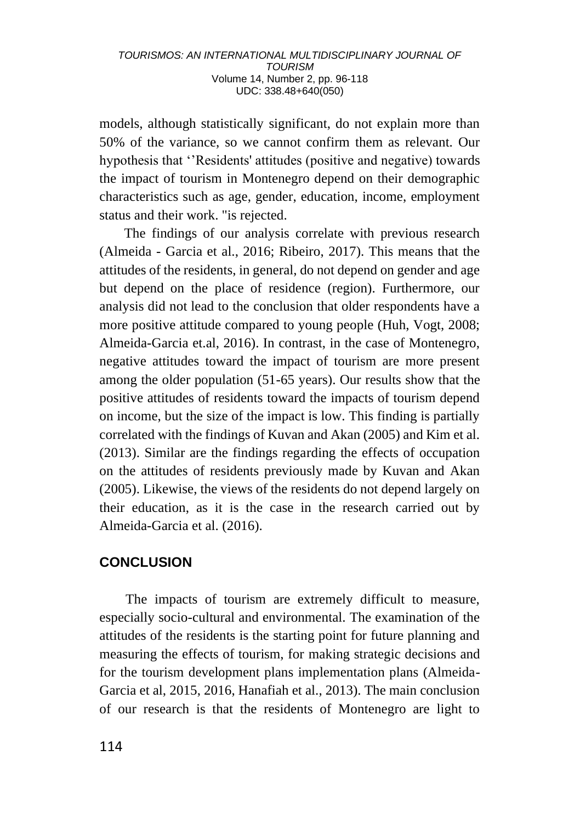models, although statistically significant, do not explain more than 50% of the variance, so we cannot confirm them as relevant. Our hypothesis that ''Residents' attitudes (positive and negative) towards the impact of tourism in Montenegro depend on their demographic characteristics such as age, gender, education, income, employment status and their work. "is rejected.

The findings of our analysis correlate with previous research (Almeida - Garcia et al., 2016; Ribeiro, 2017). This means that the attitudes of the residents, in general, do not depend on gender and age but depend on the place of residence (region). Furthermore, our analysis did not lead to the conclusion that older respondents have a more positive attitude compared to young people (Huh, Vogt, 2008; Almeida-Garcia et.al, 2016). In contrast, in the case of Montenegro, negative attitudes toward the impact of tourism are more present among the older population (51-65 years). Our results show that the positive attitudes of residents toward the impacts of tourism depend on income, but the size of the impact is low. This finding is partially correlated with the findings of Kuvan and Akan (2005) and Kim et al. (2013). Similar are the findings regarding the effects of occupation on the attitudes of residents previously made by Kuvan and Akan (2005). Likewise, the views of the residents do not depend largely on their education, as it is the case in the research carried out by Almeida-Garcia et al. (2016).

# **CONCLUSION**

The impacts of tourism are extremely difficult to measure, especially socio-cultural and environmental. The examination of the attitudes of the residents is the starting point for future planning and measuring the effects of tourism, for making strategic decisions and for the tourism development plans implementation plans (Almeida-Garcia et al, 2015, 2016, Hanafiah et al., 2013). The main conclusion of our research is that the residents of Montenegro are light to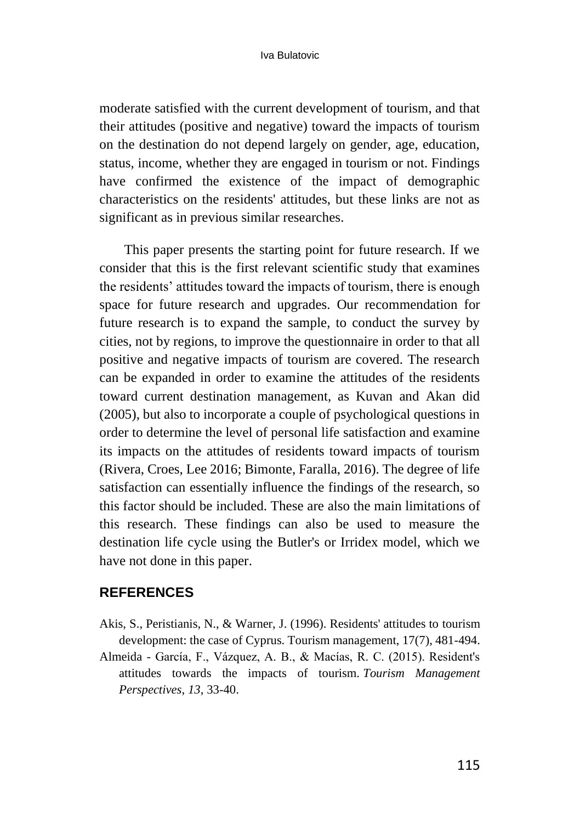moderate satisfied with the current development of tourism, and that their attitudes (positive and negative) toward the impacts of tourism on the destination do not depend largely on gender, age, education, status, income, whether they are engaged in tourism or not. Findings have confirmed the existence of the impact of demographic characteristics on the residents' attitudes, but these links are not as significant as in previous similar researches.

This paper presents the starting point for future research. If we consider that this is the first relevant scientific study that examines the residents' attitudes toward the impacts of tourism, there is enough space for future research and upgrades. Our recommendation for future research is to expand the sample, to conduct the survey by cities, not by regions, to improve the questionnaire in order to that all positive and negative impacts of tourism are covered. The research can be expanded in order to examine the attitudes of the residents toward current destination management, as Kuvan and Akan did (2005), but also to incorporate a couple of psychological questions in order to determine the level of personal life satisfaction and examine its impacts on the attitudes of residents toward impacts of tourism (Rivera, Croes, Lee 2016; Bimonte, Faralla, 2016). The degree of life satisfaction can essentially influence the findings of the research, so this factor should be included. These are also the main limitations of this research. These findings can also be used to measure the destination life cycle using the Butler's or Irridex model, which we have not done in this paper.

## **REFERENCES**

- Akis, S., Peristianis, N., & Warner, J. (1996). Residents' attitudes to tourism development: the case of Cyprus. Tourism management, 17(7), 481-494.
- Almeida García, F., Vázquez, A. B., & Macías, R. C. (2015). Resident's attitudes towards the impacts of tourism. *Tourism Management Perspectives*, *13*, 33-40.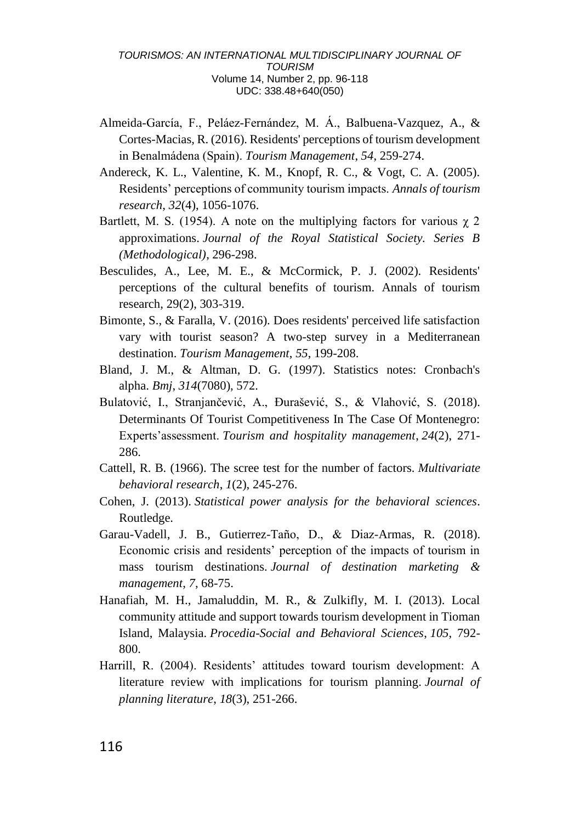- Almeida-García, F., Peláez-Fernández, M. Á., Balbuena-Vazquez, A., & Cortes-Macias, R. (2016). Residents' perceptions of tourism development in Benalmádena (Spain). *Tourism Management*, *54*, 259-274.
- Andereck, K. L., Valentine, K. M., Knopf, R. C., & Vogt, C. A. (2005). Residents' perceptions of community tourism impacts. *Annals of tourism research*, *32*(4), 1056-1076.
- Bartlett, M. S. (1954). A note on the multiplying factors for various  $\chi$  2 approximations. *Journal of the Royal Statistical Society. Series B (Methodological)*, 296-298.
- Besculides, A., Lee, M. E., & McCormick, P. J. (2002). Residents' perceptions of the cultural benefits of tourism. Annals of tourism research, 29(2), 303-319.
- Bimonte, S., & Faralla, V. (2016). Does residents' perceived life satisfaction vary with tourist season? A two-step survey in a Mediterranean destination. *Tourism Management*, *55*, 199-208.
- Bland, J. M., & Altman, D. G. (1997). Statistics notes: Cronbach's alpha. *Bmj*, *314*(7080), 572.
- Bulatović, I., Stranjančević, A., Đurašević, S., & Vlahović, S. (2018). Determinants Of Tourist Competitiveness In The Case Of Montenegro: Experts'assessment. *Tourism and hospitality management*, *24*(2), 271- 286.
- Cattell, R. B. (1966). The scree test for the number of factors. *Multivariate behavioral research*, *1*(2), 245-276.
- Cohen, J. (2013). *Statistical power analysis for the behavioral sciences*. Routledge.
- Garau-Vadell, J. B., Gutierrez-Taño, D., & Diaz-Armas, R. (2018). Economic crisis and residents' perception of the impacts of tourism in mass tourism destinations. *Journal of destination marketing & management*, *7*, 68-75.
- Hanafiah, M. H., Jamaluddin, M. R., & Zulkifly, M. I. (2013). Local community attitude and support towards tourism development in Tioman Island, Malaysia. *Procedia-Social and Behavioral Sciences*, *105*, 792- 800.
- Harrill, R. (2004). Residents' attitudes toward tourism development: A literature review with implications for tourism planning. *Journal of planning literature*, *18*(3), 251-266.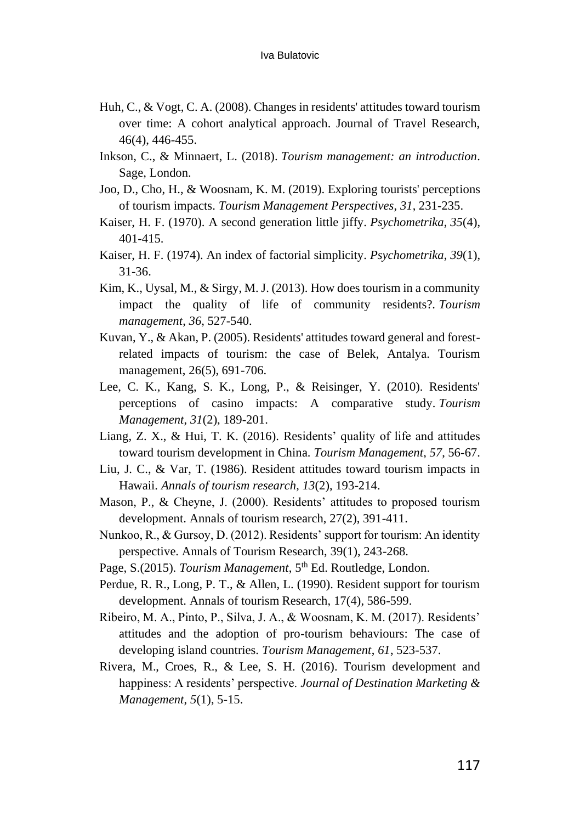- Huh, C., & Vogt, C. A. (2008). Changes in residents' attitudes toward tourism over time: A cohort analytical approach. Journal of Travel Research, 46(4), 446-455.
- Inkson, C., & Minnaert, L. (2018). *Tourism management: an introduction*. Sage, London.
- Joo, D., Cho, H., & Woosnam, K. M. (2019). Exploring tourists' perceptions of tourism impacts. *Tourism Management Perspectives*, *31*, 231-235.
- Kaiser, H. F. (1970). A second generation little jiffy. *Psychometrika*, *35*(4), 401-415.
- Kaiser, H. F. (1974). An index of factorial simplicity. *Psychometrika*, *39*(1), 31-36.
- Kim, K., Uysal, M., & Sirgy, M. J. (2013). How does tourism in a community impact the quality of life of community residents?. *Tourism management*, *36*, 527-540.
- Kuvan, Y., & Akan, P. (2005). Residents' attitudes toward general and forestrelated impacts of tourism: the case of Belek, Antalya. Tourism management, 26(5), 691-706.
- Lee, C. K., Kang, S. K., Long, P., & Reisinger, Y. (2010). Residents' perceptions of casino impacts: A comparative study. *Tourism Management*, *31*(2), 189-201.
- Liang, Z. X., & Hui, T. K. (2016). Residents' quality of life and attitudes toward tourism development in China. *Tourism Management*, *57*, 56-67.
- Liu, J. C., & Var, T. (1986). Resident attitudes toward tourism impacts in Hawaii. *Annals of tourism research*, *13*(2), 193-214.
- Mason, P., & Cheyne, J. (2000). Residents' attitudes to proposed tourism development. Annals of tourism research, 27(2), 391-411.
- Nunkoo, R., & Gursoy, D. (2012). Residents' support for tourism: An identity perspective. Annals of Tourism Research, 39(1), 243-268.
- Page, S.(2015). *Tourism Management*, 5<sup>th</sup> Ed. Routledge, London.
- Perdue, R. R., Long, P. T., & Allen, L. (1990). Resident support for tourism development. Annals of tourism Research, 17(4), 586-599.
- Ribeiro, M. A., Pinto, P., Silva, J. A., & Woosnam, K. M. (2017). Residents' attitudes and the adoption of pro-tourism behaviours: The case of developing island countries. *Tourism Management*, *61*, 523-537.
- Rivera, M., Croes, R., & Lee, S. H. (2016). Tourism development and happiness: A residents' perspective. *Journal of Destination Marketing & Management*, *5*(1), 5-15.